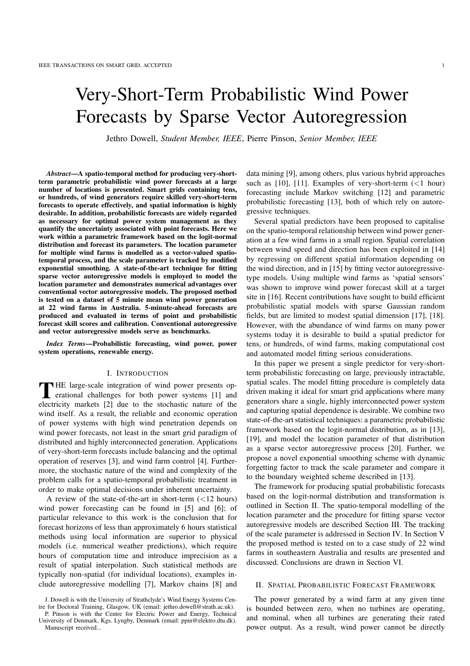# Very-Short-Term Probabilistic Wind Power Forecasts by Sparse Vector Autoregression

Jethro Dowell, *Student Member, IEEE*, Pierre Pinson, *Senior Member, IEEE*

*Abstract***—A spatio-temporal method for producing very-shortterm parametric probabilistic wind power forecasts at a large number of locations is presented. Smart grids containing tens, or hundreds, of wind generators require skilled very-short-term forecasts to operate effectively, and spatial information is highly desirable. In addition, probabilistic forecasts are widely regarded as necessary for optimal power system management as they quantify the uncertainty associated with point forecasts. Here we work within a parametric framework based on the logit-normal distribution and forecast its parameters. The location parameter for multiple wind farms is modelled as a vector-valued spatiotemporal process, and the scale parameter is tracked by modified exponential smoothing. A state-of-the-art technique for fitting sparse vector autoregressive models is employed to model the location parameter and demonstrates numerical advantages over conventional vector autoregressive models. The proposed method is tested on a dataset of 5 minute mean wind power generation at 22 wind farms in Australia. 5-minute-ahead forecasts are produced and evaluated in terms of point and probabilistic forecast skill scores and calibration. Conventional autoregressive and vector autoregressive models serve as benchmarks.**

*Index Terms***—Probabilistic forecasting, wind power, power system operations, renewable energy.**

### I. INTRODUCTION

THE large-scale integration of wind power presents operational challenges for both power systems [1] and erational challenges for both power systems [1] and electricity markets [2] due to the stochastic nature of the wind itself. As a result, the reliable and economic operation of power systems with high wind penetration depends on wind power forecasts, not least in the smart grid paradigm of distributed and highly interconnected generation. Applications of very-short-term forecasts include balancing and the optimal operation of reserves [3], and wind farm control [4]. Furthermore, the stochastic nature of the wind and complexity of the problem calls for a spatio-temporal probabilistic treatment in order to make optimal decisions under inherent uncertainty.

A review of the state-of-the-art in short-term (<12 hours) wind power forecasting can be found in [5] and [6]; of particular relevance to this work is the conclusion that for forecast horizons of less than approximately 6 hours statistical methods using local information are superior to physical models (i.e. numerical weather predictions), which require hours of computation time and introduce imprecision as a result of spatial interpolation. Such statistical methods are typically non-spatial (for individual locations), examples include autoregressive modelling [7], Markov chains [8] and data mining [9], among others, plus various hybrid approaches such as [10], [11]. Examples of very-short-term  $(<1$  hour) forecasting include Markov switching [12] and parametric probabilistic forecasting [13], both of which rely on autoregressive techniques.

Several spatial predictors have been proposed to capitalise on the spatio-temporal relationship between wind power generation at a few wind farms in a small region. Spatial correlation between wind speed and direction has been exploited in [14] by regressing on different spatial information depending on the wind direction, and in [15] by fitting vector autoregressivetype models. Using multiple wind farms as 'spatial sensors' was shown to improve wind power forecast skill at a target site in [16]. Recent contributions have sought to build efficient probabilistic spatial models with sparse Gaussian random fields, but are limited to modest spatial dimension [17], [18]. However, with the abundance of wind farms on many power systems today it is desirable to build a spatial predictor for tens, or hundreds, of wind farms, making computational cost and automated model fitting serious considerations.

In this paper we present a single predictor for very-shortterm probabilistic forecasting on large, previously intractable, spatial scales. The model fitting procedure is completely data driven making it ideal for smart grid applications where many generators share a single, highly interconnected power system and capturing spatial dependence is desirable. We combine two state-of-the-art statistical techniques: a parametric probabilistic framework based on the logit-normal distribution, as in [13], [19], and model the location parameter of that distribution as a sparse vector autoregressive process [20]. Further, we propose a novel exponential smoothing scheme with dynamic forgetting factor to track the scale parameter and compare it to the boundary weighted scheme described in [13].

The framework for producing spatial probabilistic forecasts based on the logit-normal distribution and transformation is outlined in Section II. The spatio-temporal modelling of the location parameter and the procedure for fitting sparse vector autoregressive models are described Section III. The tracking of the scale parameter is addressed in Section IV. In Section V the proposed method is tested on to a case study of 22 wind farms in southeastern Australia and results are presented and discussed. Conclusions are drawn in Section VI.

## II. SPATIAL PROBABILISTIC FORECAST FRAMEWORK

The power generated by a wind farm at any given time is bounded between zero, when no turbines are operating, and nominal, when all turbines are generating their rated power output. As a result, wind power cannot be directly

J. Dowell is with the University of Strathclyde's Wind Energy Systems Centre for Doctoral Training, Glasgow, UK (email: jethro.dowell@strath.ac.uk). P. Pinson is with the Centre for Electric Power and Energy, Technical

University of Denmark, Kgs. Lyngby, Denmark (email: ppin@elektro.dtu.dk). Manuscript received...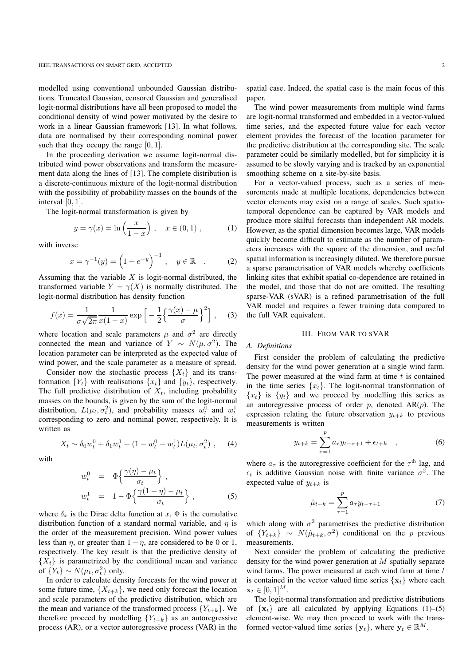modelled using conventional unbounded Gaussian distributions. Truncated Gaussian, censored Gaussian and generalised logit-normal distributions have all been proposed to model the conditional density of wind power motivated by the desire to work in a linear Gaussian framework [13]. In what follows, data are normalised by their corresponding nominal power such that they occupy the range  $[0, 1]$ .

In the proceeding derivation we assume logit-normal distributed wind power observations and transform the measurement data along the lines of [13]. The complete distribution is a discrete-continuous mixture of the logit-normal distribution with the possibility of probability masses on the bounds of the interval  $[0, 1]$ .

The logit-normal transformation is given by

$$
y = \gamma(x) = \ln\left(\frac{x}{1-x}\right), \quad x \in (0,1)
$$
, (1)

with inverse

$$
x = \gamma^{-1}(y) = \left(1 + e^{-y}\right)^{-1}, \quad y \in \mathbb{R} \quad . \tag{2}
$$

Assuming that the variable  $X$  is logit-normal distributed, the transformed variable  $Y = \gamma(X)$  is normally distributed. The logit-normal distribution has density function

$$
f(x) = \frac{1}{\sigma\sqrt{2\pi}} \frac{1}{x(1-x)} \exp\left[-\frac{1}{2}\left\{\frac{\gamma(x) - \mu}{\sigma}\right\}^2\right], \quad (3)
$$

where location and scale parameters  $\mu$  and  $\sigma^2$  are directly connected the mean and variance of  $Y \sim N(\mu, \sigma^2)$ . The location parameter can be interpreted as the expected value of wind power, and the scale parameter as a measure of spread.

Consider now the stochastic process  $\{X_t\}$  and its transformation  ${Y_t}$  with realisations  ${x_t}$  and  ${y_t}$ , respectively. The full predictive distribution of  $X_t$ , including probability masses on the bounds, is given by the sum of the logit-normal distribution,  $L(\mu_t, \sigma_t^2)$ , and probability masses  $w_t^0$  and  $w_t^1$ corresponding to zero and nominal power, respectively. It is written as

$$
X_t \sim \delta_0 w_t^0 + \delta_1 w_t^1 + (1 - w_t^0 - w_t^1) L(\mu_t, \sigma_t^2) \;, \quad (4)
$$

with

$$
w_t^0 = \Phi\left\{\frac{\gamma(\eta) - \mu_t}{\sigma_t}\right\},
$$
  

$$
w_t^1 = 1 - \Phi\left\{\frac{\gamma(1-\eta) - \mu_t}{\sigma_t}\right\},
$$
 (5)

where  $\delta_x$  is the Dirac delta function at  $x$ ,  $\Phi$  is the cumulative distribution function of a standard normal variable, and  $\eta$  is the order of the measurement precision. Wind power values less than  $\eta$ , or greater than  $1 - \eta$ , are considered to be 0 or 1, respectively. The key result is that the predictive density of  ${X<sub>t</sub>}$  is parametrized by the conditional mean and variance of  $\{Y_t\} \sim N(\mu_t, \sigma_t^2)$  only.

In order to calculate density forecasts for the wind power at some future time,  $\{X_{t+k}\}\)$ , we need only forecast the location and scale parameters of the predictive distribution, which are the mean and variance of the transformed process  ${Y_{t+k}}$ . We therefore proceed by modelling  ${Y_{t+k}}$  as an autoregressive process (AR), or a vector autoregressive process (VAR) in the

spatial case. Indeed, the spatial case is the main focus of this paper.

The wind power measurements from multiple wind farms are logit-normal transformed and embedded in a vector-valued time series, and the expected future value for each vector element provides the forecast of the location parameter for the predictive distribution at the corresponding site. The scale parameter could be similarly modelled, but for simplicity it is assumed to be slowly varying and is tracked by an exponential smoothing scheme on a site-by-site basis.

For a vector-valued process, such as a series of measurements made at multiple locations, dependencies between vector elements may exist on a range of scales. Such spatiotemporal dependence can be captured by VAR models and produce more skilful forecasts than independent AR models. However, as the spatial dimension becomes large, VAR models quickly become difficult to estimate as the number of parameters increases with the square of the dimension, and useful spatial information is increasingly diluted. We therefore pursue a sparse parametrisation of VAR models whereby coefficients linking sites that exhibit spatial co-dependence are retained in the model, and those that do not are omitted. The resulting sparse-VAR (sVAR) is a refined parametrisation of the full VAR model and requires a fewer training data compared to the full VAR equivalent.

# III. FROM VAR TO SVAR

# *A. Definitions*

First consider the problem of calculating the predictive density for the wind power generation at a single wind farm. The power measured at the wind farm at time  $t$  is contained in the time series  $\{x_t\}$ . The logit-normal transformation of  ${x_t}$  is  ${y_t}$  and we proceed by modelling this series as an autoregressive process of order  $p$ , denoted  $AR(p)$ . The expression relating the future observation  $y_{t+k}$  to previous measurements is written

$$
y_{t+k} = \sum_{\tau=1}^{p} a_{\tau} y_{t-\tau+1} + \epsilon_{t+k} \quad , \tag{6}
$$

where  $a_{\tau}$  is the autoregressive coefficient for the  $\tau^{\text{th}}$  lag, and  $\epsilon_t$  is additive Gaussian noise with finite variance  $\sigma^2$ . The expected value of  $y_{t+k}$  is

$$
\hat{\mu}_{t+k} = \sum_{\tau=1}^{p} a_{\tau} y_{t-\tau+1} \tag{7}
$$

which along with  $\sigma^2$  parametrises the predictive distribution of  ${Y_{t+k}} \sim N(\hat{\mu}_{t+k}, \sigma^2)$  conditional on the *p* previous measurements.

Next consider the problem of calculating the predictive density for the wind power generation at M spatially separate wind farms. The power measured at each wind farm at time  $t$ is contained in the vector valued time series  $\{x_t\}$  where each  $x_t \in [0, 1]^M$ .

The logit-normal transformation and predictive distributions of  $\{x_t\}$  are all calculated by applying Equations (1)–(5) element-wise. We may then proceed to work with the transformed vector-valued time series  $\{y_t\}$ , where  $y_t \in \mathbb{R}^M$ .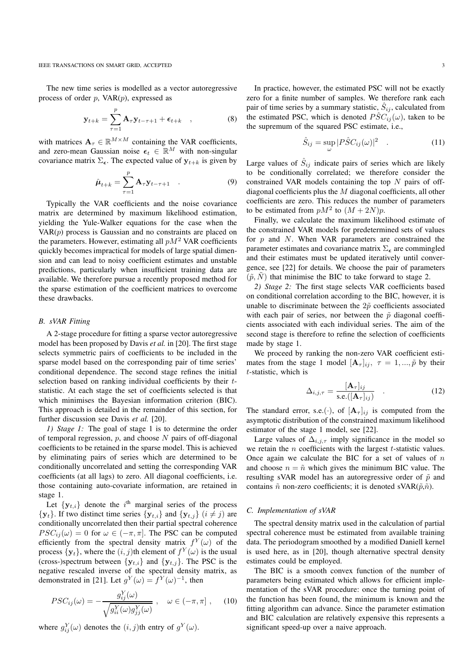The new time series is modelled as a vector autoregressive process of order  $p$ , VAR $(p)$ , expressed as

$$
\mathbf{y}_{t+k} = \sum_{\tau=1}^{p} \mathbf{A}_{\tau} \mathbf{y}_{t-\tau+1} + \epsilon_{t+k} \quad , \tag{8}
$$

with matrices  $\mathbf{A}_{\tau} \in \mathbb{R}^{M \times M}$  containing the VAR coefficients, and zero-mean Gaussian noise  $\epsilon_t \in \mathbb{R}^M$  with non-singular covariance matrix  $\Sigma_{\epsilon}$ . The expected value of  $\mathbf{y}_{t+k}$  is given by

$$
\hat{\boldsymbol{\mu}}_{t+k} = \sum_{\tau=1}^{p} \mathbf{A}_{\tau} \mathbf{y}_{t-\tau+1} \quad . \tag{9}
$$

Typically the VAR coefficients and the noise covariance matrix are determined by maximum likelihood estimation, yielding the Yule-Walker equations for the case when the  $VAR(p)$  process is Gaussian and no constraints are placed on the parameters. However, estimating all  $pM<sup>2</sup>$  VAR coefficients quickly becomes impractical for models of large spatial dimension and can lead to noisy coefficient estimates and unstable predictions, particularly when insufficient training data are available. We therefore pursue a recently proposed method for the sparse estimation of the coefficient matrices to overcome these drawbacks.

#### *B. sVAR Fitting*

A 2-stage procedure for fitting a sparse vector autoregressive model has been proposed by Davis *et al.* in [20]. The first stage selects symmetric pairs of coefficients to be included in the sparse model based on the corresponding pair of time series' conditional dependence. The second stage refines the initial selection based on ranking individual coefficients by their tstatistic. At each stage the set of coefficients selected is that which minimises the Bayesian information criterion (BIC). This approach is detailed in the remainder of this section, for further discussion see Davis *et al.* [20].

*1) Stage 1:* The goal of stage 1 is to determine the order of temporal regression,  $p$ , and choose  $N$  pairs of off-diagonal coefficients to be retained in the sparse model. This is achieved by eliminating pairs of series which are determined to be conditionally uncorrelated and setting the corresponding VAR coefficients (at all lags) to zero. All diagonal coefficients, i.e. those containing auto-covariate information, are retained in stage 1.

Let  $\{y_{t,i}\}\$  denote the i<sup>th</sup> marginal series of the process  $\{y_t\}$ . If two distinct time series  $\{y_{t,i}\}\$  and  $\{y_{t,i}\}\$   $(i \neq j)$  are conditionally uncorrelated then their partial spectral coherence  $PSC_{ij}(\omega) = 0$  for  $\omega \in (-\pi, \pi]$ . The PSC can be computed efficiently from the spectral density matrix  $f^{Y}(\omega)$  of the process  $\{y_t\}$ , where the  $(i, j)$ th element of  $f^Y(\omega)$  is the usual (cross-)spectrum between  $\{y_{t,i}\}\$  and  $\{y_{t,i}\}\$ . The PSC is the negative rescaled inverse of the spectral density matrix, as demonstrated in [21]. Let  $g^{Y}(\omega) = f^{Y}(\omega)^{-1}$ , then

$$
PSC_{ij}(\omega) = -\frac{g_{ij}^Y(\omega)}{\sqrt{g_{ii}^Y(\omega)g_{jj}^Y(\omega)}}
$$
,  $\omega \in (-\pi, \pi]$ , (10)

where  $g_{ij}^Y(\omega)$  denotes the  $(i, j)$ th entry of  $g^Y(\omega)$ .

In practice, however, the estimated PSC will not be exactly zero for a finite number of samples. We therefore rank each

pair of time series by a summary statistic,  $\hat{S}_{ij}$ , calculated from the estimated PSC, which is denoted  $\hat{PSC}_{ij}(\omega)$ , taken to be the supremum of the squared PSC estimate, i.e.,

$$
\hat{S}_{ij} = \sup_{\omega} |P\hat{S}C_{ij}(\omega)|^2 \quad . \tag{11}
$$

Large values of  $\hat{S}_{ij}$  indicate pairs of series which are likely to be conditionally correlated; we therefore consider the constrained VAR models containing the top  $N$  pairs of offdiagonal coefficients plus the M diagonal coefficients, all other coefficients are zero. This reduces the number of parameters to be estimated from  $pM^2$  to  $(M + 2N)p$ .

Finally, we calculate the maximum likelihood estimate of the constrained VAR models for predetermined sets of values for  $p$  and  $N$ . When VAR parameters are constrained the parameter estimates and covariance matrix  $\Sigma_{\epsilon}$  are commingled and their estimates must be updated iteratively until convergence, see [22] for details. We choose the pair of parameters  $(\tilde{p}, N)$  that minimise the BIC to take forward to stage 2.

*2) Stage 2:* The first stage selects VAR coefficients based on conditional correlation according to the BIC, however, it is unable to discriminate between the  $2\tilde{p}$  coefficients associated with each pair of series, nor between the  $\tilde{p}$  diagonal coefficients associated with each individual series. The aim of the second stage is therefore to refine the selection of coefficients made by stage 1.

We proceed by ranking the non-zero VAR coefficient estimates from the stage 1 model  $[\mathbf{A}_{\tau}]_{ij}$ ,  $\tau = 1, ..., \tilde{p}$  by their t-statistic, which is

$$
\Delta_{i,j,\tau} = \frac{[\mathbf{A}_{\tau}]_{ij}}{\text{s.e.}([\mathbf{A}_{\tau}]_{ij})} \quad . \tag{12}
$$

The standard error, s.e.(.), of  $[A_\tau]_{ij}$  is computed from the asymptotic distribution of the constrained maximum likelihood estimator of the stage 1 model, see [22].

Large values of  $\Delta_{i,j,\tau}$  imply significance in the model so we retain the  $n$  coefficients with the largest  $t$ -statistic values. Once again we calculate the BIC for a set of values of  $n$ and choose  $n = \tilde{n}$  which gives the minimum BIC value. The resulting sVAR model has an autoregressive order of  $\tilde{p}$  and contains  $\tilde{n}$  non-zero coefficients; it is denoted sVAR( $\tilde{p}, \tilde{n}$ ).

# *C. Implementation of sVAR*

The spectral density matrix used in the calculation of partial spectral coherence must be estimated from available training data. The periodogram smoothed by a modified Daniell kernel is used here, as in [20], though alternative spectral density estimates could be employed.

The BIC is a smooth convex function of the number of parameters being estimated which allows for efficient implementation of the sVAR procedure: once the turning point of the function has been found, the minimum is known and the fitting algorithm can advance. Since the parameter estimation and BIC calculation are relatively expensive this represents a significant speed-up over a naive approach.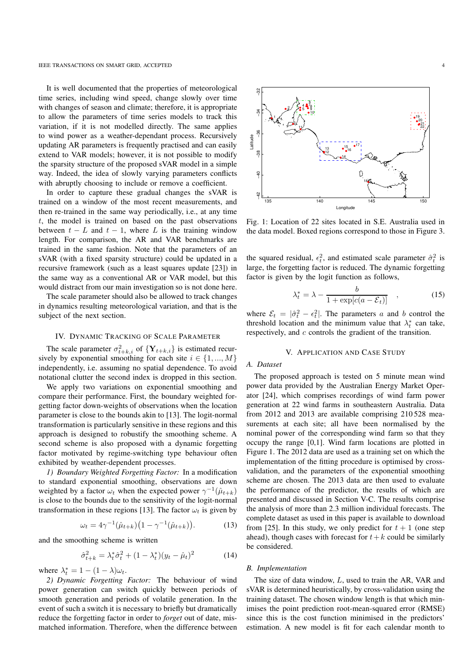#### IEEE TRANSACTIONS ON SMART GRID, ACCEPTED 4

It is well documented that the properties of meteorological time series, including wind speed, change slowly over time with changes of season and climate; therefore, it is appropriate to allow the parameters of time series models to track this variation, if it is not modelled directly. The same applies to wind power as a weather-dependant process. Recursively updating AR parameters is frequently practised and can easily extend to VAR models; however, it is not possible to modify the sparsity structure of the proposed sVAR model in a simple way. Indeed, the idea of slowly varying parameters conflicts with abruptly choosing to include or remove a coefficient.

In order to capture these gradual changes the sVAR is trained on a window of the most recent measurements, and then re-trained in the same way periodically, i.e., at any time  $t$ , the model is trained on based on the past observations between  $t - L$  and  $t - 1$ , where L is the training window length. For comparison, the AR and VAR benchmarks are trained in the same fashion. Note that the parameters of an sVAR (with a fixed sparsity structure) could be updated in a recursive framework (such as a least squares update [23]) in the same way as a conventional AR or VAR model, but this would distract from our main investigation so is not done here.

The scale parameter should also be allowed to track changes in dynamics resulting meteorological variation, and that is the subject of the next section.

## IV. DYNAMIC TRACKING OF SCALE PARAMETER

The scale parameter  $\sigma_{t+k,i}^2$  of  $\{Y_{t+k,i}\}$  is estimated recursively by exponential smoothing for each site  $i \in \{1, ..., M\}$ independently, i.e. assuming no spatial dependence. To avoid notational clutter the second index is dropped in this section.

We apply two variations on exponential smoothing and compare their performance. First, the boundary weighted forgetting factor down-weights of observations when the location parameter is close to the bounds akin to [13]. The logit-normal transformation is particularly sensitive in these regions and this approach is designed to robustify the smoothing scheme. A second scheme is also proposed with a dynamic forgetting factor motivated by regime-switching type behaviour often exhibited by weather-dependent processes.

*1) Boundary Weighted Forgetting Factor:* In a modification to standard exponential smoothing, observations are down weighted by a factor  $\omega_t$  when the expected power  $\gamma^{-1}(\hat{\mu}_{t+k})$ is close to the bounds due to the sensitivity of the logit-normal transformation in these regions [13]. The factor  $\omega_t$  is given by

$$
\omega_t = 4\gamma^{-1}(\hat{\mu}_{t+k})\big(1 - \gamma^{-1}(\hat{\mu}_{t+k})\big). \tag{13}
$$

and the smoothing scheme is written

$$
\hat{\sigma}_{t+k}^2 = \lambda_t^* \hat{\sigma}_t^2 + (1 - \lambda_t^*) (y_t - \hat{\mu}_t)^2 \tag{14}
$$

where  $\lambda_t^* = 1 - (1 - \lambda)\omega_t$ .

*2) Dynamic Forgetting Factor:* The behaviour of wind power generation can switch quickly between periods of smooth generation and periods of volatile generation. In the event of such a switch it is necessary to briefly but dramatically reduce the forgetting factor in order to *forget* out of date, mismatched information. Therefore, when the difference between

 $\frac{2}{3}$ 135 140 145 150 Longitude

Fig. 1: Location of 22 sites located in S.E. Australia used in the data model. Boxed regions correspond to those in Figure 3.

the squared residual,  $\epsilon_t^2$ , and estimated scale parameter  $\hat{\sigma}_t^2$  is large, the forgetting factor is reduced. The dynamic forgetting factor is given by the logit function as follows,

$$
\lambda_t^* = \lambda - \frac{b}{1 + \exp[c(a - \mathcal{E}_t)]}, \qquad (15)
$$

where  $\mathcal{E}_t = |\hat{\sigma}_t^2 - \epsilon_t^2|$ . The parameters a and b control the threshold location and the minimum value that  $\lambda_t^*$  can take, respectively, and c controls the gradient of the transition.

## V. APPLICATION AND CASE STUDY

## *A. Dataset*

The proposed approach is tested on 5 minute mean wind power data provided by the Australian Energy Market Operator [24], which comprises recordings of wind farm power generation at 22 wind farms in southeastern Australia. Data from 2012 and 2013 are available comprising 210 528 measurements at each site; all have been normalised by the nominal power of the corresponding wind farm so that they occupy the range [0,1]. Wind farm locations are plotted in Figure 1. The 2012 data are used as a training set on which the implementation of the fitting procedure is optimised by crossvalidation, and the parameters of the exponential smoothing scheme are chosen. The 2013 data are then used to evaluate the performance of the predictor, the results of which are presented and discussed in Section V-C. The results comprise the analysis of more than 2.3 million individual forecasts. The complete dataset as used in this paper is available to download from [25]. In this study, we only predict for  $t + 1$  (one step ahead), though cases with forecast for  $t+k$  could be similarly be considered.

### *B. Implementation*

The size of data window, L, used to train the AR, VAR and sVAR is determined heuristically, by cross-validation using the training dataset. The chosen window length is that which minimises the point prediction root-mean-squared error (RMSE) since this is the cost function minimised in the predictors' estimation. A new model is fit for each calendar month to



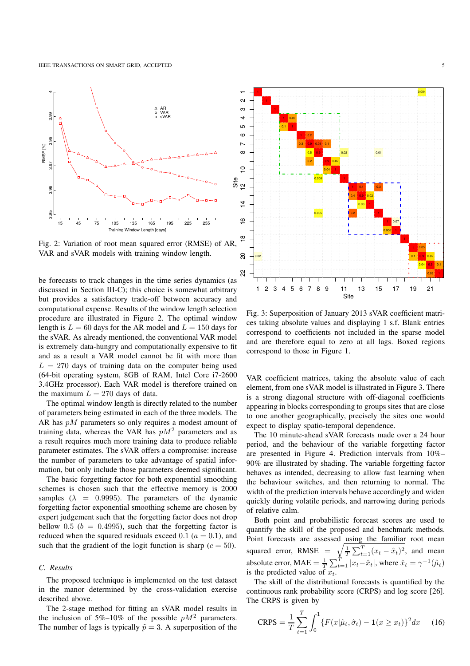

Fig. 2: Variation of root mean squared error (RMSE) of AR, VAR and sVAR models with training window length.

be forecasts to track changes in the time series dynamics (as discussed in Section III-C); this choice is somewhat arbitrary but provides a satisfactory trade-off between accuracy and computational expense. Results of the window length selection procedure are illustrated in Figure 2. The optimal window length is  $L = 60$  days for the AR model and  $L = 150$  days for the sVAR. As already mentioned, the conventional VAR model is extremely data-hungry and computationally expensive to fit and as a result a VAR model cannot be fit with more than  $L = 270$  days of training data on the computer being used (64-bit operating system, 8GB of RAM, Intel Core i7-2600 3.4GHz processor). Each VAR model is therefore trained on the maximum  $L = 270$  days of data.

The optimal window length is directly related to the number of parameters being estimated in each of the three models. The AR has  $pM$  parameters so only requires a modest amount of training data, whereas the VAR has  $pM<sup>2</sup>$  parameters and as a result requires much more training data to produce reliable parameter estimates. The sVAR offers a compromise: increase the number of parameters to take advantage of spatial information, but only include those parameters deemed significant.

The basic forgetting factor for both exponential smoothing schemes is chosen such that the effective memory is 2000 samples ( $\lambda$  = 0.9995). The parameters of the dynamic forgetting factor exponential smoothing scheme are chosen by expert judgement such that the forgetting factor does not drop bellow 0.5 ( $b = 0.4995$ ), such that the forgetting factor is reduced when the squared residuals exceed  $0.1$  ( $a = 0.1$ ), and such that the gradient of the logit function is sharp  $(c = 50)$ .

# *C. Results*

The proposed technique is implemented on the test dataset in the manor determined by the cross-validation exercise described above.

The 2-stage method for fitting an sVAR model results in the inclusion of 5%–10% of the possible  $pM^2$  parameters. The number of lags is typically  $\tilde{p} = 3$ . A superposition of the



Fig. 3: Superposition of January 2013 sVAR coefficient matrices taking absolute values and displaying 1 s.f. Blank entries correspond to coefficients not included in the sparse model and are therefore equal to zero at all lags. Boxed regions correspond to those in Figure 1.

VAR coefficient matrices, taking the absolute value of each element, from one sVAR model is illustrated in Figure 3. There is a strong diagonal structure with off-diagonal coefficients appearing in blocks corresponding to groups sites that are close to one another geographically, precisely the sites one would expect to display spatio-temporal dependence.

The 10 minute-ahead sVAR forecasts made over a 24 hour period, and the behaviour of the variable forgetting factor are presented in Figure 4. Prediction intervals from 10%– 90% are illustrated by shading. The variable forgetting factor behaves as intended, decreasing to allow fast learning when the behaviour switches, and then returning to normal. The width of the prediction intervals behave accordingly and widen quickly during volatile periods, and narrowing during periods of relative calm.

Both point and probabilistic forecast scores are used to quantify the skill of the proposed and benchmark methods. Point forecasts are assessed using the familiar root mean squared error, RMSE =  $\sqrt{\frac{1}{T} \sum_{t=1}^{T} (x_t - \hat{x}_t)^2}$ , and mean absolute error, MAE =  $\frac{1}{T} \sum_{t=1}^{T} |x_t - \hat{x}_t|$ , where  $\hat{x}_t = \gamma^{-1}(\hat{\mu}_t)$ is the predicted value of  $x_t$ .

The skill of the distributional forecasts is quantified by the continuous rank probability score (CRPS) and log score [26]. The CRPS is given by

$$
CRPS = \frac{1}{T} \sum_{t=1}^{T} \int_{0}^{1} \{ F(x|\hat{\mu}_t, \hat{\sigma}_t) - \mathbf{1}(x \ge x_t) \}^2 dx \qquad (16)
$$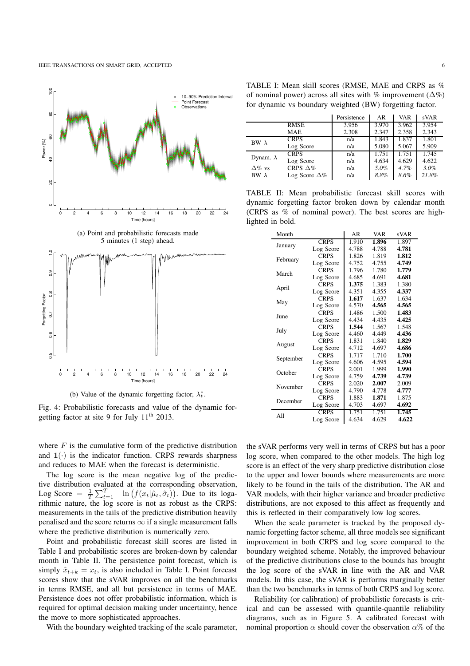

(b) Value of the dynamic forgetting factor,  $\lambda_t^*$ .

Fig. 4: Probabilistic forecasts and value of the dynamic forgetting factor at site 9 for July  $11<sup>th</sup>$  2013.

where  $F$  is the cumulative form of the predictive distribution and  $1(\cdot)$  is the indicator function. CRPS rewards sharpness and reduces to MAE when the forecast is deterministic.

The log score is the mean negative log of the predictive distribution evaluated at the corresponding observation, Log Score =  $\frac{1}{T} \sum_{t=1}^{T} -\ln (f(x_t|\hat{\mu}_t, \hat{\sigma}_t))$ . Due to its logarithmic nature, the log score is not as robust as the CRPS: measurements in the tails of the predictive distribution heavily penalised and the score returns  $\infty$  if a single measurement falls where the predictive distribution is numerically zero.

Point and probabilistic forecast skill scores are listed in Table I and probabilistic scores are broken-down by calendar month in Table II. The persistence point forecast, which is simply  $\hat{x}_{t+k} = x_t$ , is also included in Table I. Point forecast scores show that the sVAR improves on all the benchmarks in terms RMSE, and all but persistence in terms of MAE. Persistence does not offer probabilistic information, which is required for optimal decision making under uncertainty, hence the move to more sophisticated approaches.

With the boundary weighted tracking of the scale parameter,

TABLE I: Mean skill scores (RMSE, MAE and CRPS as % of nominal power) across all sites with % improvement ( $\Delta\%$ ) for dynamic vs boundary weighted (BW) forgetting factor.

|                  |                      | Persistence | AR    | <b>VAR</b> | sVAR  |
|------------------|----------------------|-------------|-------|------------|-------|
|                  | <b>RMSE</b>          | 3.956       | 3.970 | 3.962      | 3.954 |
|                  | <b>MAE</b>           | 2.308       | 2.347 | 2.358      | 2.343 |
| BW $\lambda$     | <b>CRPS</b>          | n/a         | 1.843 | 1.837      | 1.801 |
|                  | Log Score            | n/a         | 5.080 | 5.067      | 5.909 |
| Dynam. $\lambda$ | <b>CRPS</b>          | n/a         | 1.751 | 1.751      | 1.745 |
|                  | Log Score            | n/a         | 4.634 | 4.629      | 4.622 |
| $\Delta\%$ vs    | CRPS $\Delta\%$      | n/a         | 5.0%  | 4.7%       | 3.0%  |
| BW $\lambda$     | Log Score $\Delta\%$ | n/a         | 8.8%  | 8.6%       | 21.8% |

TABLE II: Mean probabilistic forecast skill scores with dynamic forgetting factor broken down by calendar month (CRPS as % of nominal power). The best scores are highlighted in bold.

| Month     |             | AR    | VAR   | sVAR  |
|-----------|-------------|-------|-------|-------|
| January   | <b>CRPS</b> | 1.910 | 1.896 | 1.897 |
|           | Log Score   | 4.788 | 4.788 | 4.781 |
| February  | <b>CRPS</b> | 1.826 | 1.819 | 1.812 |
|           | Log Score   | 4.752 | 4.755 | 4.749 |
| March     | <b>CRPS</b> | 1.796 | 1.780 | 1.779 |
|           | Log Score   | 4.685 | 4.691 | 4.681 |
|           | <b>CRPS</b> | 1.375 | 1.383 | 1.380 |
| April     | Log Score   | 4.351 | 4.355 | 4.337 |
| May       | <b>CRPS</b> | 1.617 | 1.637 | 1.634 |
|           | Log Score   | 4.570 | 4.565 | 4.565 |
|           | <b>CRPS</b> | 1.486 | 1.500 | 1.483 |
| June      | Log Score   | 4.434 | 4.435 | 4.425 |
|           | <b>CRPS</b> | 1.544 | 1.567 | 1.548 |
| July      | Log Score   | 4.460 | 4.449 | 4.436 |
|           | <b>CRPS</b> | 1.831 | 1.840 | 1.829 |
| August    | Log Score   | 4.712 | 4.697 | 4.686 |
|           | <b>CRPS</b> | 1.717 | 1.710 | 1.700 |
| September | Log Score   | 4.606 | 4.595 | 4.594 |
|           | <b>CRPS</b> | 2.001 | 1.999 | 1.990 |
| October   | Log Score   | 4.759 | 4.739 | 4.739 |
|           | <b>CRPS</b> | 2.020 | 2.007 | 2.009 |
| November  | Log Score   | 4.790 | 4.778 | 4.777 |
|           | <b>CRPS</b> | 1.883 | 1.871 | 1.875 |
| December  | Log Score   | 4.703 | 4.697 | 4.692 |
| All       | <b>CRPS</b> | 1.751 | 1.751 | 1.745 |
|           | Log Score   | 4.634 | 4.629 | 4.622 |

the sVAR performs very well in terms of CRPS but has a poor log score, when compared to the other models. The high log score is an effect of the very sharp predictive distribution close to the upper and lower bounds where measurements are more likely to be found in the tails of the distribution. The AR and VAR models, with their higher variance and broader predictive distributions, are not exposed to this affect as frequently and this is reflected in their comparatively low log scores.

When the scale parameter is tracked by the proposed dynamic forgetting factor scheme, all three models see significant improvement in both CRPS and log score compared to the boundary weighted scheme. Notably, the improved behaviour of the predictive distributions close to the bounds has brought the log score of the sVAR in line with the AR and VAR models. In this case, the sVAR is performs marginally better than the two benchmarks in terms of both CRPS and log score.

Reliability (or calibration) of probabilistic forecasts is critical and can be assessed with quantile-quantile reliability diagrams, such as in Figure 5. A calibrated forecast with nominal proportion  $\alpha$  should cover the observation  $\alpha$ % of the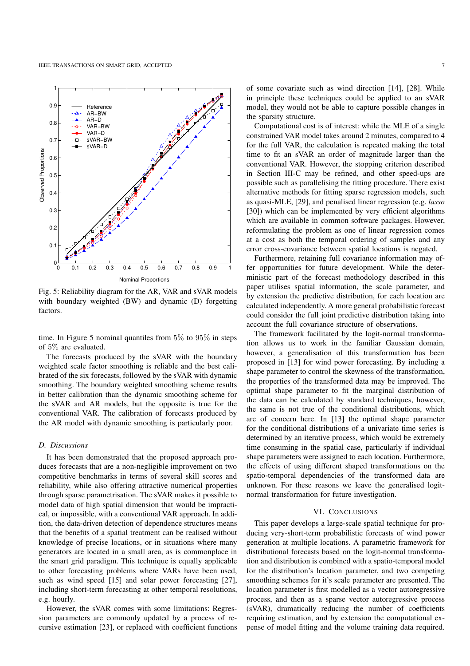

Fig. 5: Reliability diagram for the AR, VAR and sVAR models with boundary weighted (BW) and dynamic (D) forgetting factors.

time. In Figure 5 nominal quantiles from 5% to 95% in steps of 5% are evaluated.

The forecasts produced by the sVAR with the boundary weighted scale factor smoothing is reliable and the best calibrated of the six forecasts, followed by the sVAR with dynamic smoothing. The boundary weighted smoothing scheme results in better calibration than the dynamic smoothing scheme for the sVAR and AR models, but the opposite is true for the conventional VAR. The calibration of forecasts produced by the AR model with dynamic smoothing is particularly poor.

## *D. Discussions*

It has been demonstrated that the proposed approach produces forecasts that are a non-negligible improvement on two competitive benchmarks in terms of several skill scores and reliability, while also offering attractive numerical properties through sparse parametrisation. The sVAR makes it possible to model data of high spatial dimension that would be impractical, or impossible, with a conventional VAR approach. In addition, the data-driven detection of dependence structures means that the benefits of a spatial treatment can be realised without knowledge of precise locations, or in situations where many generators are located in a small area, as is commonplace in the smart grid paradigm. This technique is equally applicable to other forecasting problems where VARs have been used, such as wind speed [15] and solar power forecasting [27], including short-term forecasting at other temporal resolutions, e.g. hourly.

However, the sVAR comes with some limitations: Regression parameters are commonly updated by a process of recursive estimation [23], or replaced with coefficient functions of some covariate such as wind direction [14], [28]. While in principle these techniques could be applied to an sVAR model, they would not be able to capture possible changes in the sparsity structure.

Computational cost is of interest: while the MLE of a single constrained VAR model takes around 2 minutes, compared to 4 for the full VAR, the calculation is repeated making the total time to fit an sVAR an order of magnitude larger than the conventional VAR. However, the stopping criterion described in Section III-C may be refined, and other speed-ups are possible such as parallelising the fitting procedure. There exist alternative methods for fitting sparse regression models, such as quasi-MLE, [29], and penalised linear regression (e.g. *lasso* [30]) which can be implemented by very efficient algorithms which are available in common software packages. However, reformulating the problem as one of linear regression comes at a cost as both the temporal ordering of samples and any error cross-covariance between spatial locations is negated.

Furthermore, retaining full covariance information may offer opportunities for future development. While the deterministic part of the forecast methodology described in this paper utilises spatial information, the scale parameter, and by extension the predictive distribution, for each location are calculated independently. A more general probabilistic forecast could consider the full joint predictive distribution taking into account the full covariance structure of observations.

The framework facilitated by the logit-normal transformation allows us to work in the familiar Gaussian domain, however, a generalisation of this transformation has been proposed in [13] for wind power forecasting. By including a shape parameter to control the skewness of the transformation, the properties of the transformed data may be improved. The optimal shape parameter to fit the marginal distribution of the data can be calculated by standard techniques, however, the same is not true of the conditional distributions, which are of concern here. In [13] the optimal shape parameter for the conditional distributions of a univariate time series is determined by an iterative process, which would be extremely time consuming in the spatial case, particularly if individual shape parameters were assigned to each location. Furthermore, the effects of using different shaped transformations on the spatio-temporal dependencies of the transformed data are unknown. For these reasons we leave the generalised logitnormal transformation for future investigation.

#### VI. CONCLUSIONS

This paper develops a large-scale spatial technique for producing very-short-term probabilistic forecasts of wind power generation at multiple locations. A parametric framework for distributional forecasts based on the logit-normal transformation and distribution is combined with a spatio-temporal model for the distribution's location parameter, and two competing smoothing schemes for it's scale parameter are presented. The location parameter is first modelled as a vector autoregressive process, and then as a sparse vector autoregressive process (sVAR), dramatically reducing the number of coefficients requiring estimation, and by extension the computational expense of model fitting and the volume training data required.